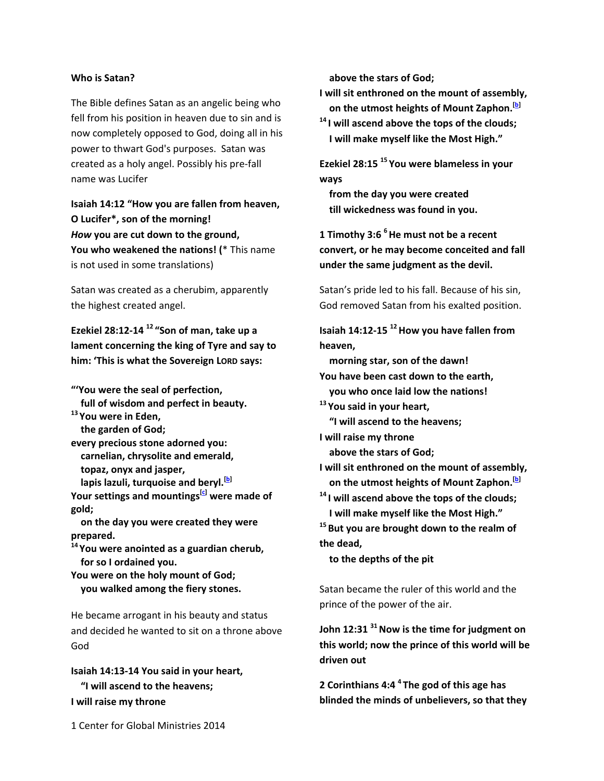## **Who is Satan?**

The Bible defines Satan as an angelic being who fell from his position in heaven due to sin and is now completely opposed to God, doing all in his power to thwart God's purposes. Satan was created as a holy angel. Possibly his pre‐fall name was Lucifer

**Isaiah 14:12 "How you are fallen from heaven, O Lucifer\*, son of the morning!** *How* **you are cut down to the ground, You who weakened the nations! (**\* This name is not used in some translations)

Satan was created as a cherubim, apparently the highest created angel.

**Ezekiel 28:12‐14 <sup>12</sup> "Son of man, take up a lament concerning the king of Tyre and say to him: 'This is what the Sovereign LORD says:**

- **"'You were the seal of perfection,**
- **full of wisdom and perfect in beauty.**
- **<sup>13</sup> You were in Eden, the garden of God;**
- **every precious stone adorned you: carnelian, chrysolite and emerald, topaz, onyx and jasper,**
- **lapis lazuli, turquoise and beryl.[b]**

**Your settings and mountings[c] were made of gold;**

 **on the day you were created they were prepared.**

**<sup>14</sup> You were anointed as a guardian cherub, for so I ordained you.**

**You were on the holy mount of God; you walked among the fiery stones.**

He became arrogant in his beauty and status and decided he wanted to sit on a throne above God

**Isaiah 14:13‐14 You said in your heart, "I will ascend to the heavens; I will raise my throne**

 **above the stars of God;**

**I will sit enthroned on the mount of assembly, on the utmost heights of Mount Zaphon.[b]**

**<sup>14</sup> I will ascend above the tops of the clouds; I will make myself like the Most High."**

**Ezekiel 28:15 <sup>15</sup> You were blameless in your ways**

 **from the day you were created till wickedness was found in you.**

**1 Timothy 3:6 6He must not be a recent convert, or he may become conceited and fall under the same judgment as the devil.**

Satan's pride led to his fall. Because of his sin, God removed Satan from his exalted position.

**Isaiah 14:12-15** <sup>12</sup> How you have fallen from **heaven,**

 **morning star, son of the dawn! You have been cast down to the earth, you who once laid low the nations! <sup>13</sup> You said in your heart, "I will ascend to the heavens; I will raise my throne above the stars of God; I will sit enthroned on the mount of assembly, on the utmost heights of Mount Zaphon.[b] <sup>14</sup> I will ascend above the tops of the clouds;**

 **I will make myself like the Most High."**

**<sup>15</sup> But you are brought down to the realm of the dead,**

 **to the depths of the pit**

Satan became the ruler of this world and the prince of the power of the air.

**John 12:31**<sup>31</sup> Now is the time for judgment on **this world; now the prince of this world will be driven out**

**2 Corinthians 4:4 <sup>4</sup> The god of this age has blinded the minds of unbelievers, so that they**